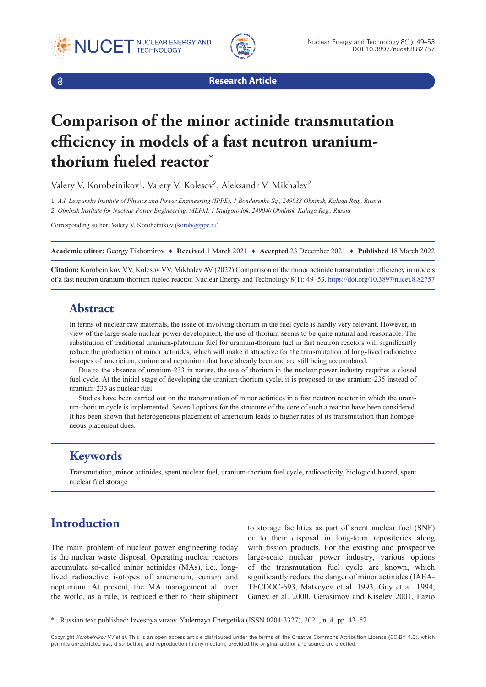





**Research Article**

# **Comparison of the minor actinide transmutation efficiency in models of a fast neutron uraniumthorium fueled reactor\***

Valery V. Korobeinikov<sup>1</sup>, Valery V. Kolesov<sup>2</sup>, Aleksandr V. Mikhalev<sup>2</sup>

1 *A.I. Leypunsky Institute of Physics and Power Engineering (IPPE), 1 Bondarenko Sq., 249033 Obninsk, Kaluga Reg., Russia* 2 *Obninsk Institute for Nuclear Power Engineering, MEPhI, 1 Studgorodok, 249040 Obninsk, Kaluga Reg., Russia*

Corresponding author: Valery V. Korobeinikov ([korob@ippe.ru](mailto:korob@ippe.ru))

**Academic editor:** Georgy Tikhomirov ♦ **Received** 1 March 2021 ♦ **Accepted** 23 December 2021 ♦ **Published** 18 March 2022

**Citation:** Korobeinikov VV, Kolesov VV, Mikhalev AV (2022) Comparison of the minor actinide transmutation efficiency in models of a fast neutron uranium-thorium fueled reactor. Nuclear Energy and Technology 8(1): 49–53.<https://doi.org/10.3897/nucet.8.82757>

#### **Abstract**

In terms of nuclear raw materials, the issue of involving thorium in the fuel cycle is hardly very relevant. However, in view of the large-scale nuclear power development, the use of thorium seems to be quite natural and reasonable. The substitution of traditional uranium-plutonium fuel for uranium-thorium fuel in fast neutron reactors will significantly reduce the production of minor actinides, which will make it attractive for the transmutation of long-lived radioactive isotopes of americium, curium and neptunium that have already been and are still being accumulated.

Due to the absence of uranium-233 in nature, the use of thorium in the nuclear power industry requires a closed fuel cycle. At the initial stage of developing the uranium-thorium cycle, it is proposed to use uranium-235 instead of uranium-233 as nuclear fuel.

Studies have been carried out on the transmutation of minor actinides in a fast neutron reactor in which the uranium-thorium cycle is implemented. Several options for the structure of the core of such a reactor have been considered. It has been shown that heterogeneous placement of americium leads to higher rates of its transmutation than homogeneous placement does.

### **Keywords**

Transmutation, minor actinides, spent nuclear fuel, uranium-thorium fuel cycle, radioactivity, biological hazard, spent nuclear fuel storage

# **Introduction**

The main problem of nuclear power engineering today is the nuclear waste disposal. Operating nuclear reactors accumulate so-called minor actinides (MAs), i.e., longlived radioactive isotopes of americium, curium and neptunium. At present, the MA management all over the world, as a rule, is reduced either to their shipment

to storage facilities as part of spent nuclear fuel (SNF) or to their disposal in long-term repositories along with fission products. For the existing and prospective large-scale nuclear power industry, various options of the transmutation fuel cycle are known, which significantly reduce the danger of minor actinides (IAEA-TECDOC-693, Matveyev et al. 1993, Guy et al. 1994, Ganev et al. 2000, Gerasimov and Kiselev 2001, Fazio

\* Russian text published: Izvestiya vuzov. Yadernaya Energetika (ISSN 0204-3327), 2021, n. 4, pp. 43–52.

Copyright *Korobeinikov VV et al.* This is an open access article distributed under the terms of the Creative Commons Attribution License (CC-BY 4.0), which permits unrestricted use, distribution, and reproduction in any medium, provided the original author and source are credited.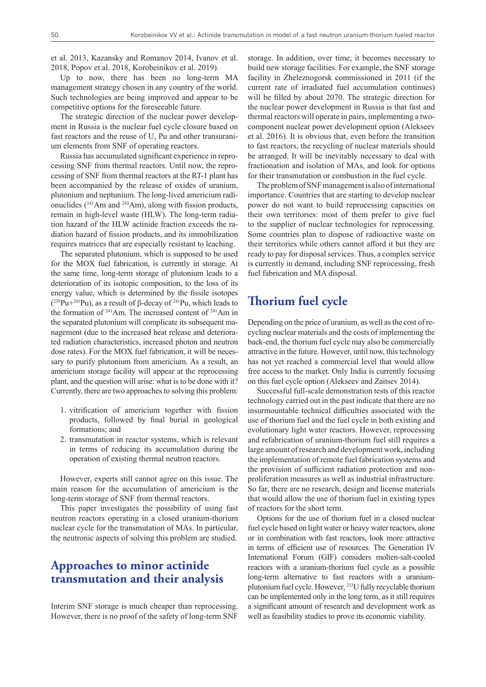et al. 2013, Kazansky and Romanov 2014, Ivanov et al. 2018, Popov et al. 2018, Korobeinikov et al. 2019).

Up to now, there has been no long-term MA management strategy chosen in any country of the world. Such technologies are being improved and appear to be competitive options for the foreseeable future.

The strategic direction of the nuclear power development in Russia is the nuclear fuel cycle closure based on fast reactors and the reuse of U, Pu and other transuranium elements from SNF of operating reactors.

Russia has accumulated significant experience in reprocessing SNF from thermal reactors. Until now, the reprocessing of SNF from thermal reactors at the RT-1 plant has been accompanied by the release of oxides of uranium, plutonium and neptunium. The long-lived americium radionuclides (241Am and 243Am), along with fission products, remain in high-level waste (HLW). The long-term radiation hazard of the HLW actinide fraction exceeds the radiation hazard of fission products, and its immobilization requires matrices that are especially resistant to leaching.

The separated plutonium, which is supposed to be used for the MOX fuel fabrication, is currently in storage. At the same time, long-term storage of plutonium leads to a deterioration of its isotopic composition, to the loss of its energy value, which is determined by the fissile isotopes  $(^{239}Pu+^{241}Pu)$ , as a result of  $\beta$ -decay of <sup>241</sup>Pu, which leads to the formation of <sup>241</sup>Am. The increased content of <sup>241</sup>Am in the separated plutonium will complicate its subsequent management (due to the increased heat release and deteriorated radiation characteristics, increased photon and neutron dose rates). For the MOX fuel fabrication, it will be necessary to purify plutonium from americium. As a result, an americium storage facility will appear at the reprocessing plant, and the question will arise: what is to be done with it? Currently, there are two approaches to solving this problem:

- 1. vitrification of americium together with fission products, followed by final burial in geological formations; and
- 2. transmutation in reactor systems, which is relevant in terms of reducing its accumulation during the operation of existing thermal neutron reactors.

However, experts still cannot agree on this issue. The main reason for the accumulation of americium is the long-term storage of SNF from thermal reactors.

This paper investigates the possibility of using fast neutron reactors operating in a closed uranium-thorium nuclear cycle for the transmutation of MAs. In particular, the neutronic aspects of solving this problem are studied.

## **Approaches to minor actinide transmutation and their analysis**

Interim SNF storage is much cheaper than reprocessing. However, there is no proof of the safety of long-term SNF storage. In addition, over time, it becomes necessary to build new storage facilities. For example, the SNF storage facility in Zheleznogorsk commissioned in 2011 (if the current rate of irradiated fuel accumulation continues) will be filled by about 2070. The strategic direction for the nuclear power development in Russia is that fast and thermal reactors will operate in pairs, implementing a twocomponent nuclear power development option (Alekseev et al. 2016). It is obvious that, even before the transition to fast reactors, the recycling of nuclear materials should be arranged. It will be inevitably necessary to deal with fractionation and isolation of MAs, and look for options for their transmutation or combustion in the fuel cycle.

The problem of SNF management is also of international importance. Countries that are starting to develop nuclear power do not want to build reprocessing capacities on their own territories: most of them prefer to give fuel to the supplier of nuclear technologies for reprocessing. Some countries plan to dispose of radioactive waste on their territories while others cannot afford it but they are ready to pay for disposal services. Thus, a complex service is currently in demand, including SNF reprocessing, fresh fuel fabrication and MA disposal.

## **Thorium fuel cycle**

Depending on the price of uranium, as well as the cost of recycling nuclear materials and the costs of implementing the back-end, the thorium fuel cycle may also be commercially attractive in the future. However, until now, this technology has not yet reached a commercial level that would allow free access to the market. Only India is currently focusing on this fuel cycle option (Alekseev and Zaitsev 2014).

Successful full-scale demonstration tests of this reactor technology carried out in the past indicate that there are no insurmountable technical difficulties associated with the use of thorium fuel and the fuel cycle in both existing and evolutionary light water reactors. However, reprocessing and refabrication of uranium-thorium fuel still requires a large amount of research and development work, including the implementation of remote fuel fabrication systems and the provision of sufficient radiation protection and nonproliferation measures as well as industrial infrastructure. So far, there are no research, design and license materials that would allow the use of thorium fuel in existing types of reactors for the short term.

Options for the use of thorium fuel in a closed nuclear fuel cycle based on light water or heavy water reactors, alone or in combination with fast reactors, look more attractive in terms of efficient use of resources. The Generation IV International Forum (GIF) considers molten-salt-cooled reactors with a uranium-thorium fuel cycle as a possible long-term alternative to fast reactors with a uraniumplutonium fuel cycle. However, <sup>233</sup>U fully recyclable thorium can be implemented only in the long term, as it still requires a significant amount of research and development work as well as feasibility studies to prove its economic viability.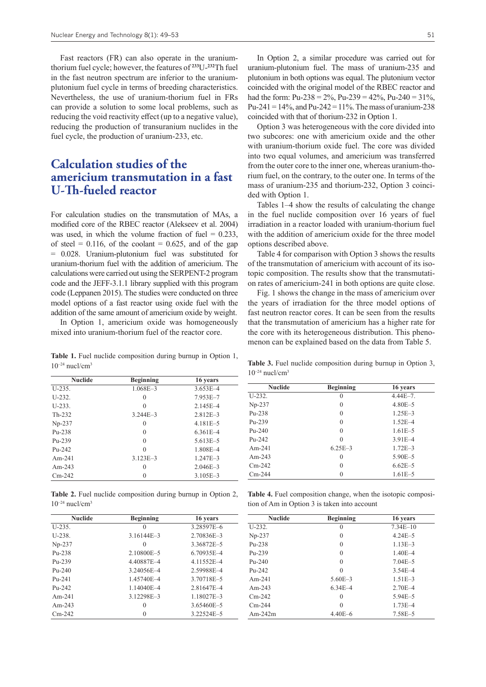Fast reactors (FR) can also operate in the uraniumthorium fuel cycle; however, the features of **<sup>233</sup>**U-**<sup>232</sup>**Th fuel in the fast neutron spectrum are inferior to the uraniumplutonium fuel cycle in terms of breeding characteristics. Nevertheless, the use of uranium-thorium fuel in FRs can provide a solution to some local problems, such as reducing the void reactivity effect (up to a negative value), reducing the production of transuranium nuclides in the fuel cycle, the production of uranium-233, etc.

# **Calculation studies of the americium transmutation in a fast U-Th-fueled reactor**

For calculation studies on the transmutation of MAs, a modified core of the RBEC reactor (Alekseev et al. 2004) was used, in which the volume fraction of fuel  $= 0.233$ , of steel =  $0.116$ , of the coolant = 0.625, and of the gap = 0.028. Uranium-plutonium fuel was substituted for uranium-thorium fuel with the addition of americium. The calculations were carried out using the SERPENT-2 program code and the JEFF-3.1.1 library supplied with this program code (Leppanen 2015). The studies were conducted on three model options of a fast reactor using oxide fuel with the addition of the same amount of americium oxide by weight.

In Option 1, americium oxide was homogeneously mixed into uranium-thorium fuel of the reactor core.

**Table 1.** Fuel nuclide composition during burnup in Option 1,  $10^{-24}$  nucl/cm<sup>3</sup>

| <b>Nuclide</b> | <b>Beginning</b> | 16 years     |
|----------------|------------------|--------------|
| $U-235.$       | $1.068E - 3$     | $3.653E - 4$ |
| $U-232.$       | $\Omega$         | 7.953E-7     |
| $U-233.$       | $\Omega$         | $2.145E - 4$ |
| $Th-232$       | $3.244E - 3$     | $2.812E - 3$ |
| $Np-237$       | $\theta$         | $4.181E - 5$ |
| $Pu-238$       | $\Omega$         | $6.361E - 4$ |
| $Pu-239$       | $\Omega$         | $5.613E - 5$ |
| $Pu-242$       | $\Omega$         | 1.808E-4     |
| $Am-241$       | $3.123E - 3$     | $1.247E - 3$ |
| Am-243         | $\Omega$         | $2.046E - 3$ |
| $Cm-242$       |                  | $3.105E - 3$ |

**Table 2.** Fuel nuclide composition during burnup in Option 2,  $10^{-24}$  nucl/cm<sup>3</sup>

| <b>Nuclide</b> | <b>Beginning</b> | 16 years       |
|----------------|------------------|----------------|
| $U-235.$       | $\left( \right)$ | 3.28597E-6     |
| $U-238.$       | $3.16144E - 3$   | 2.70836E-3     |
| $Np-237$       | $\Omega$         | 3.36872E-5     |
| $Pu-238$       | 2.10800E-5       | 6.70935E-4     |
| $Pu-239$       | 4.40887E-4       | 4.11552E-4     |
| $Pu-240$       | 3.24056E-4       | 2.59988E-4     |
| $Pu-241$       | 1.45740E-4       | 3.70718E-5     |
| $Pu-242$       | $1.14040E - 4$   | 2.81647E-4     |
| $Am-241$       | 3.12298E-3       | $1.18027E - 3$ |
| Am-243         | $\Omega$         | 3.65460E-5     |
| $Cm-242$       |                  | 3.22524E-5     |

In Option 2, a similar procedure was carried out for uranium-plutonium fuel. The mass of uranium-235 and plutonium in both options was equal. The plutonium vector coincided with the original model of the RBEC reactor and had the form: Pu-238 =  $2\%$ , Pu-239 =  $42\%$ , Pu-240 =  $31\%$ , Pu-241 =  $14\%$ , and Pu-242 =  $11\%$ . The mass of uranium-238 coincided with that of thorium-232 in Option 1.

Option 3 was heterogeneous with the core divided into two subcores: one with americium oxide and the other with uranium-thorium oxide fuel. The core was divided into two equal volumes, and americium was transferred from the outer core to the inner one, whereas uranium-thorium fuel, on the contrary, to the outer one. In terms of the mass of uranium-235 and thorium-232, Option 3 coincided with Option 1.

Tables 1–4 show the results of calculating the change in the fuel nuclide composition over 16 years of fuel irradiation in a reactor loaded with uranium-thorium fuel with the addition of americium oxide for the three model options described above.

Table 4 for comparison with Option 3 shows the results of the transmutation of americium with account of its isotopic composition. The results show that the transmutation rates of americium-241 in both options are quite close.

Fig. 1 shows the change in the mass of americium over the years of irradiation for the three model options of fast neutron reactor cores. It can be seen from the results that the transmutation of americium has a higher rate for the core with its heterogeneous distribution. This phenomenon can be explained based on the data from Table 5.

**Table 3.** Fuel nuclide composition during burnup in Option 3,  $10^{-24}$  nucl/cm<sup>3</sup>

| <b>Nuclide</b> | <b>Beginning</b> | 16 years     |
|----------------|------------------|--------------|
| $U-232.$       | 0                | $4.44E - 7.$ |
| $Np-237$       | $\theta$         | $4.80E - 5$  |
| $Pu-238$       | $\theta$         | $1.25E - 3$  |
| $Pu-239$       | $\theta$         | $1.52E - 4$  |
| $Pu-240$       | $\theta$         | $1.61E - 5$  |
| $Pu-242$       | $\theta$         | $3.91E - 4$  |
| $Am-241$       | $6.25E - 3$      | $1.72E - 3$  |
| Am-243         | $\theta$         | $5.90E - 5$  |
| $Cm-242$       | $\theta$         | $6.62E - 5$  |
| $Cm-244$       | 0                | $1.61E - 5$  |

**Table 4.** Fuel composition change, when the isotopic composition of Am in Option 3 is taken into account

| <b>Nuclide</b> | <b>Beginning</b> | 16 years     |
|----------------|------------------|--------------|
| $U-232.$       | $\theta$         | $7.34E - 10$ |
| $Np-237$       | $\theta$         | $4.24E - 5$  |
| $Pu-238$       | $\theta$         | $1.13E - 3$  |
| $Pu-239$       | $\theta$         | $1.40E - 4$  |
| $Pu-240$       | $\Omega$         | $7.04E - 5$  |
| $Pu-242$       | $\Omega$         | $3.54E - 4$  |
| $Am-241$       | $5.60E - 3$      | $1.51E - 3$  |
| Am-243         | $6.34E - 4$      | $2.70E - 4$  |
| $Cm-242$       | $\Omega$         | $5.94E - 5$  |
| $Cm-244$       | $\Omega$         | $1.73E - 4$  |
| $Am-242m$      | $4.40E - 6$      | 7.58E-5      |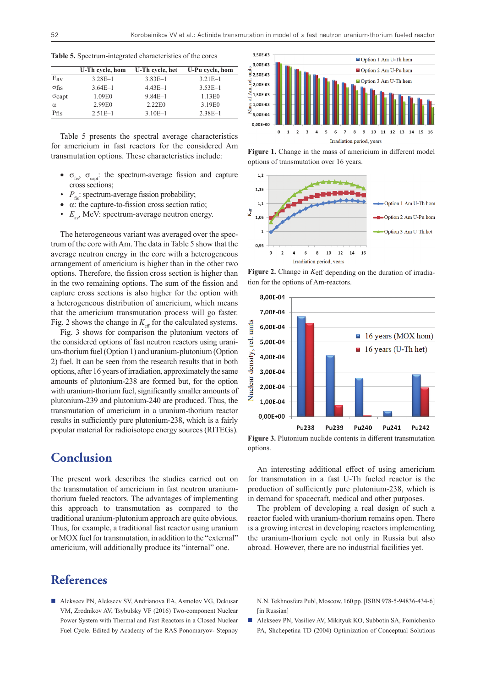**Table 5.** Spectrum-integrated characteristics of the cores

|               | U-Th cycle, hom | U-Th cycle, het | U-Pu cycle, hom |
|---------------|-----------------|-----------------|-----------------|
| $E_{av}$      | $3.28E - 1$     | $3.83E-1$       | $3.21E - 1$     |
| $\sigma$ fis  | $3.64E-1$       | $4.43E - 1$     | $3.53E-1$       |
| $\sigma$ capt | 1.09E0          | $9.84E - 1$     | 1.13E0          |
| $\alpha$      | 2.99E0          | 2.22E0          | 3.19E0          |
| Pfis          | $2.51E-1$       | $3.10E-1$       | $2.38E-1$       |

Table 5 presents the spectral average characteristics for americium in fast reactors for the considered Am transmutation options. These characteristics include:

- $\sigma_{\text{fis}}$ ,  $\sigma_{\text{cart}}$ : the spectrum-average fission and capture cross sections;
- $P_{\text{f}}$ : spectrum-average fission probability;
- $\bullet$   $\alpha$ : the capture-to-fission cross section ratio;
- $E_{\mu\nu}$ , MeV: spectrum-average neutron energy.

The heterogeneous variant was averaged over the spectrum of the core with Am. The data in Table 5 show that the average neutron energy in the core with a heterogeneous arrangement of americium is higher than in the other two options. Therefore, the fission cross section is higher than in the two remaining options. The sum of the fission and capture cross sections is also higher for the option with a heterogeneous distribution of americium, which means that the americium transmutation process will go faster. Fig. 2 shows the change in  $K_{\text{eff}}$  for the calculated systems.

Fig. 3 shows for comparison the plutonium vectors of the considered options of fast neutron reactors using uranium-thorium fuel (Option 1) and uranium-plutonium (Option 2) fuel. It can be seen from the research results that in both options, after 16 years of irradiation, approximately the same amounts of plutonium-238 are formed but, for the option with uranium-thorium fuel, significantly smaller amounts of plutonium-239 and plutonium-240 are produced. Thus, the transmutation of americium in a uranium-thorium reactor results in sufficiently pure plutonium-238, which is a fairly popular material for radioisotope energy sources (RITEGs).

#### **Conclusion**

The present work describes the studies carried out on the transmutation of americium in fast neutron uraniumthorium fueled reactors. The advantages of implementing this approach to transmutation as compared to the traditional uranium-plutonium approach are quite obvious. Thus, for example, a traditional fast reactor using uranium or MOX fuel for transmutation, in addition to the "external" americium, will additionally produce its "internal" one.

#### **References**

■ Alekseev PN, Alekseev SV, Andrianova EA, Asmolov VG, Dekusar VM, Zrodnikov AV, Tsybulsky VF (2016) Two-component Nuclear Power System with Thermal and Fast Reactors in a Closed Nuclear Fuel Cycle. Edited by Academy of the RAS Ponomaryov- Stepnoy



**Figure 1.** Change in the mass of americium in different model options of transmutation over 16 years.







**Figure 3.** Plutonium nuclide contents in different transmutation options.

An interesting additional effect of using americium for transmutation in a fast U-Th fueled reactor is the production of sufficiently pure plutonium-238, which is in demand for spacecraft, medical and other purposes.

The problem of developing a real design of such a reactor fueled with uranium-thorium remains open. There is a growing interest in developing reactors implementing the uranium-thorium cycle not only in Russia but also abroad. However, there are no industrial facilities yet.

N.N. Tekhnosfera Publ, Moscow, 160 pp. [ISBN 978-5-94836-434-6] [in Russian]

 Alekseev PN, Vasiliev AV, Mikityuk KO, Subbotin SA, Fomichenko PA, Shchepetina TD (2004) Optimization of Conceptual Solutions